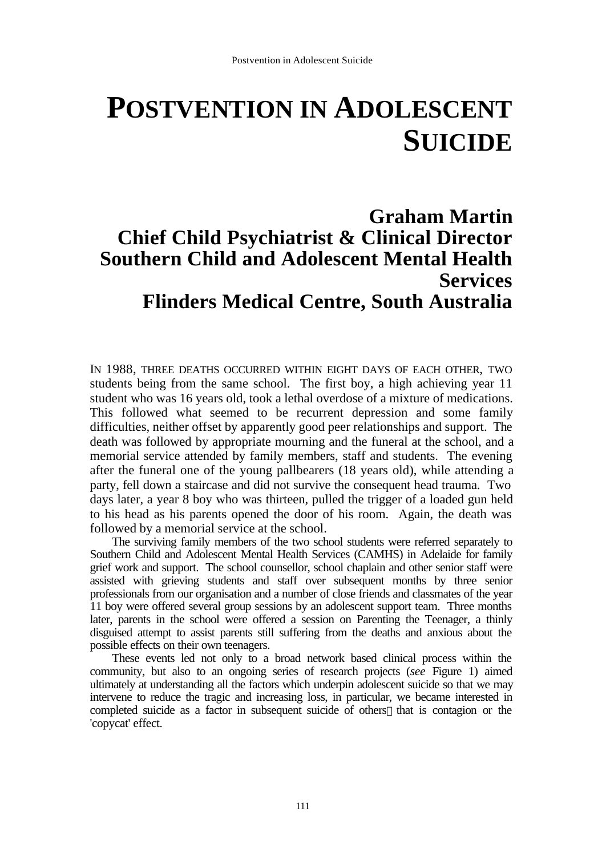# **POSTVENTION IN ADOLESCENT SUICIDE**

# **Graham Martin Chief Child Psychiatrist & Clinical Director Southern Child and Adolescent Mental Health Services Flinders Medical Centre, South Australia**

IN 1988, THREE DEATHS OCCURRED WITHIN EIGHT DAYS OF EACH OTHER, TWO students being from the same school. The first boy, a high achieving year 11 student who was 16 years old, took a lethal overdose of a mixture of medications. This followed what seemed to be recurrent depression and some family difficulties, neither offset by apparently good peer relationships and support. The death was followed by appropriate mourning and the funeral at the school, and a memorial service attended by family members, staff and students. The evening after the funeral one of the young pallbearers (18 years old), while attending a party, fell down a staircase and did not survive the consequent head trauma. Two days later, a year 8 boy who was thirteen, pulled the trigger of a loaded gun held to his head as his parents opened the door of his room. Again, the death was followed by a memorial service at the school.

The surviving family members of the two school students were referred separately to Southern Child and Adolescent Mental Health Services (CAMHS) in Adelaide for family grief work and support. The school counsellor, school chaplain and other senior staff were assisted with grieving students and staff over subsequent months by three senior professionals from our organisation and a number of close friends and classmates of the year 11 boy were offered several group sessions by an adolescent support team. Three months later, parents in the school were offered a session on Parenting the Teenager, a thinly disguised attempt to assist parents still suffering from the deaths and anxious about the possible effects on their own teenagers.

These events led not only to a broad network based clinical process within the community, but also to an ongoing series of research projects (*see* Figure 1) aimed ultimately at understanding all the factors which underpin adolescent suicide so that we may intervene to reduce the tragic and increasing loss, in particular, we became interested in completed suicide as a factor in subsequent suicide of others—that is contagion or the 'copycat' effect.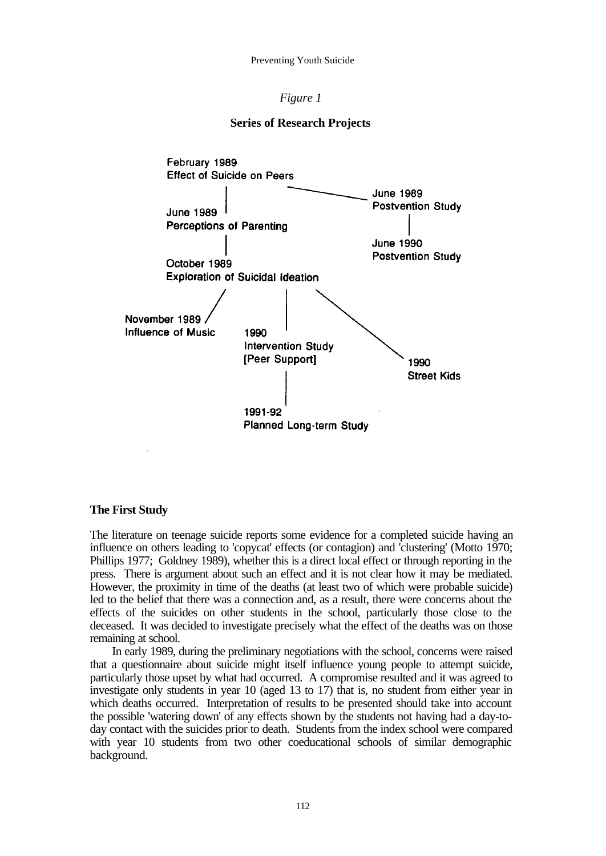# *Figure 1*





### **The First Study**

The literature on teenage suicide reports some evidence for a completed suicide having an influence on others leading to 'copycat' effects (or contagion) and 'clustering' (Motto 1970; Phillips 1977; Goldney 1989), whether this is a direct local effect or through reporting in the press. There is argument about such an effect and it is not clear how it may be mediated. However, the proximity in time of the deaths (at least two of which were probable suicide) led to the belief that there was a connection and, as a result, there were concerns about the effects of the suicides on other students in the school, particularly those close to the deceased. It was decided to investigate precisely what the effect of the deaths was on those remaining at school.

In early 1989, during the preliminary negotiations with the school, concerns were raised that a questionnaire about suicide might itself influence young people to attempt suicide, particularly those upset by what had occurred. A compromise resulted and it was agreed to investigate only students in year 10 (aged 13 to 17) that is, no student from either year in which deaths occurred. Interpretation of results to be presented should take into account the possible 'watering down' of any effects shown by the students not having had a day-today contact with the suicides prior to death. Students from the index school were compared with year 10 students from two other coeducational schools of similar demographic background.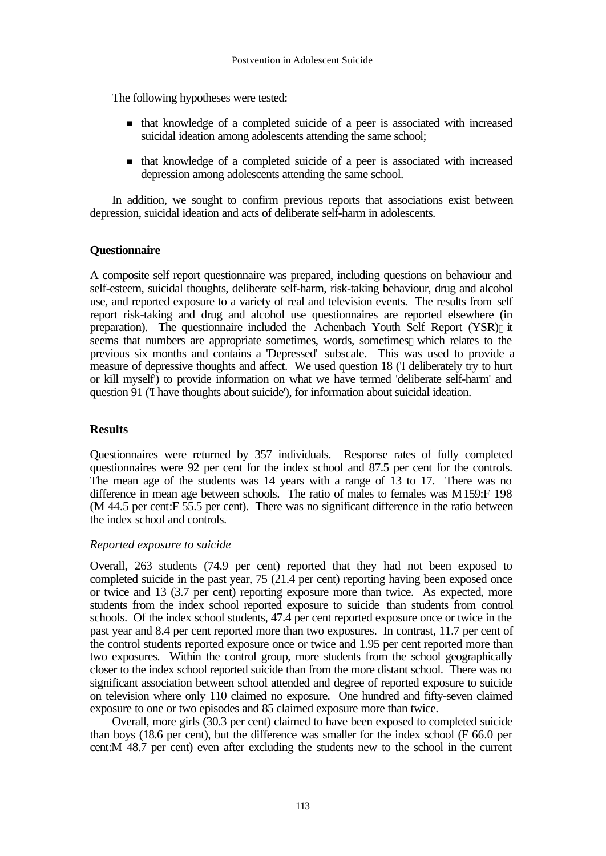The following hypotheses were tested:

- <sup>n</sup> that knowledge of a completed suicide of a peer is associated with increased suicidal ideation among adolescents attending the same school;
- <sup>n</sup> that knowledge of a completed suicide of a peer is associated with increased depression among adolescents attending the same school.

In addition, we sought to confirm previous reports that associations exist between depression, suicidal ideation and acts of deliberate self-harm in adolescents.

# **Questionnaire**

A composite self report questionnaire was prepared, including questions on behaviour and self-esteem, suicidal thoughts, deliberate self-harm, risk-taking behaviour, drug and alcohol use, and reported exposure to a variety of real and television events. The results from self report risk-taking and drug and alcohol use questionnaires are reported elsewhere (in preparation). The questionnaire included the Achenbach Youth Self Report (YSR)—it seems that numbers are appropriate sometimes, words, sometimes—which relates to the previous six months and contains a 'Depressed' subscale. This was used to provide a measure of depressive thoughts and affect. We used question 18 ('I deliberately try to hurt or kill myself') to provide information on what we have termed 'deliberate self-harm' and question 91 ('I have thoughts about suicide'), for information about suicidal ideation.

# **Results**

Questionnaires were returned by 357 individuals. Response rates of fully completed questionnaires were 92 per cent for the index school and 87.5 per cent for the controls. The mean age of the students was 14 years with a range of 13 to 17. There was no difference in mean age between schools. The ratio of males to females was M 159:F 198 (M 44.5 per cent:F 55.5 per cent). There was no significant difference in the ratio between the index school and controls.

# *Reported exposure to suicide*

Overall, 263 students (74.9 per cent) reported that they had not been exposed to completed suicide in the past year, 75 (21.4 per cent) reporting having been exposed once or twice and 13 (3.7 per cent) reporting exposure more than twice. As expected, more students from the index school reported exposure to suicide than students from control schools. Of the index school students, 47.4 per cent reported exposure once or twice in the past year and 8.4 per cent reported more than two exposures. In contrast, 11.7 per cent of the control students reported exposure once or twice and 1.95 per cent reported more than two exposures. Within the control group, more students from the school geographically closer to the index school reported suicide than from the more distant school. There was no significant association between school attended and degree of reported exposure to suicide on television where only 110 claimed no exposure. One hundred and fifty-seven claimed exposure to one or two episodes and 85 claimed exposure more than twice.

Overall, more girls (30.3 per cent) claimed to have been exposed to completed suicide than boys (18.6 per cent), but the difference was smaller for the index school (F 66.0 per cent:M 48.7 per cent) even after excluding the students new to the school in the current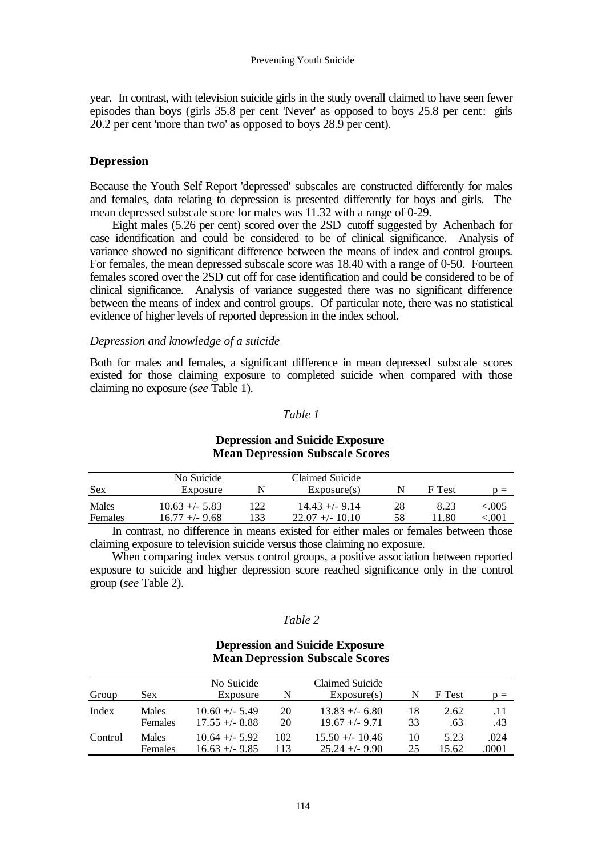year. In contrast, with television suicide girls in the study overall claimed to have seen fewer episodes than boys (girls 35.8 per cent 'Never' as opposed to boys 25.8 per cent: girls 20.2 per cent 'more than two' as opposed to boys 28.9 per cent).

# **Depression**

Because the Youth Self Report 'depressed' subscales are constructed differently for males and females, data relating to depression is presented differently for boys and girls. The mean depressed subscale score for males was 11.32 with a range of 0-29.

Eight males (5.26 per cent) scored over the 2SD cutoff suggested by Achenbach for case identification and could be considered to be of clinical significance. Analysis of variance showed no significant difference between the means of index and control groups. For females, the mean depressed subscale score was 18.40 with a range of 0-50. Fourteen females scored over the 2SD cut off for case identification and could be considered to be of clinical significance. Analysis of variance suggested there was no significant difference between the means of index and control groups. Of particular note, there was no statistical evidence of higher levels of reported depression in the index school.

# *Depression and knowledge of a suicide*

Both for males and females, a significant difference in mean depressed subscale scores existed for those claiming exposure to completed suicide when compared with those claiming no exposure (*see* Table 1).

# *Table 1*

# **Mean Depression Subscale Scores** No Suicide Claimed Suicide Sex Exposure N Exposure N Exposure Sex  $P = \sum_{n=1}^{\infty}$   $N$  F Test p = Males 10.63 +/- 5.83 122 14.43 +/- 9.14 28 8.23 <.005<br>Females 16.77 +/- 9.68 133 22.07 +/- 10.10 58 11.80 <.001 Females 16.77 +/- 9.68 133 22.07 +/- 10.10 58 11.80 <.001

# **Depression and Suicide Exposure**

In contrast, no difference in means existed for either males or females between those claiming exposure to television suicide versus those claiming no exposure.

When comparing index versus control groups, a positive association between reported exposure to suicide and higher depression score reached significance only in the control group (*see* Table 2).

# *Table 2*

# **Depression and Suicide Exposure Mean Depression Subscale Scores**

| Group   | <b>Sex</b>     | No Suicide<br>Exposure |     | Claimed Suicide<br>Exposure(s) | N  | F Test | $n =$ |
|---------|----------------|------------------------|-----|--------------------------------|----|--------|-------|
| Index   | <b>Males</b>   | $10.60 + - 5.49$       | 20  | $13.83 + - 6.80$               | 18 | 2.62   | .11   |
|         | <b>Females</b> | $17.55 + (-8.88)$      | 20  | $19.67 + - 9.71$               | 33 | .63    | .43   |
| Control | <b>Males</b>   | $10.64 + - 5.92$       | 102 | $15.50 + - 10.46$              | 10 | 5.23   | .024  |
|         | <b>Females</b> | $16.63 + - 9.85$       | 113 | $25.24 + -9.90$                | 25 | 15.62  | .0001 |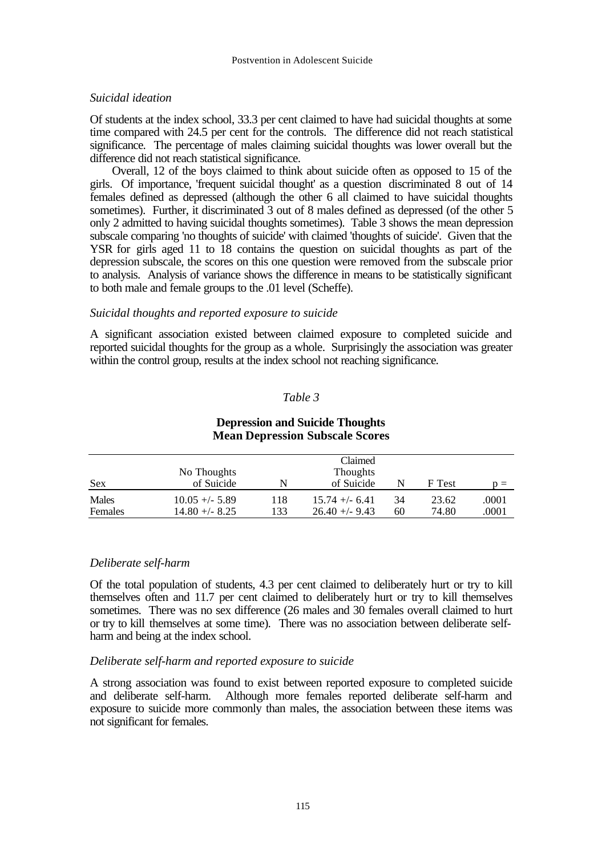# *Suicidal ideation*

Of students at the index school, 33.3 per cent claimed to have had suicidal thoughts at some time compared with 24.5 per cent for the controls. The difference did not reach statistical significance. The percentage of males claiming suicidal thoughts was lower overall but the difference did not reach statistical significance.

Overall, 12 of the boys claimed to think about suicide often as opposed to 15 of the girls. Of importance, 'frequent suicidal thought' as a question discriminated 8 out of 14 females defined as depressed (although the other 6 all claimed to have suicidal thoughts sometimes). Further, it discriminated 3 out of 8 males defined as depressed (of the other 5 only 2 admitted to having suicidal thoughts sometimes). Table 3 shows the mean depression subscale comparing 'no thoughts of suicide' with claimed 'thoughts of suicide'. Given that the YSR for girls aged 11 to 18 contains the question on suicidal thoughts as part of the depression subscale, the scores on this one question were removed from the subscale prior to analysis. Analysis of variance shows the difference in means to be statistically significant to both male and female groups to the .01 level (Scheffe).

# *Suicidal thoughts and reported exposure to suicide*

A significant association existed between claimed exposure to completed suicide and reported suicidal thoughts for the group as a whole. Surprisingly the association was greater within the control group, results at the index school not reaching significance.

# *Table 3*

# **Depression and Suicide Thoughts Mean Depression Subscale Scores**

|         | No Thoughts      |     | Claimed<br>Thoughts |    |        |       |
|---------|------------------|-----|---------------------|----|--------|-------|
| Sex     | of Suicide       |     | of Suicide          |    | F Test | $n =$ |
| Males   | $10.05 +/- 5.89$ | 118 | $15.74 + - 6.41$    | 34 | 23.62  | .0001 |
| Females | $14.80 + - 8.25$ | 133 | $26.40 + -9.43$     | 60 | 74.80  | .0001 |

# *Deliberate self-harm*

Of the total population of students, 4.3 per cent claimed to deliberately hurt or try to kill themselves often and 11.7 per cent claimed to deliberately hurt or try to kill themselves sometimes. There was no sex difference (26 males and 30 females overall claimed to hurt or try to kill themselves at some time). There was no association between deliberate selfharm and being at the index school.

# *Deliberate self-harm and reported exposure to suicide*

A strong association was found to exist between reported exposure to completed suicide and deliberate self-harm. Although more females reported deliberate self-harm and exposure to suicide more commonly than males, the association between these items was not significant for females.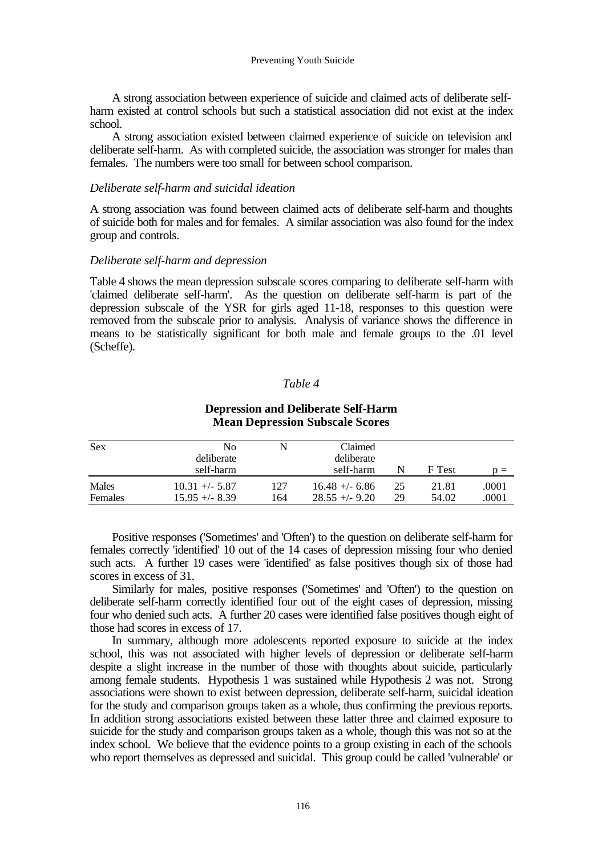A strong association between experience of suicide and claimed acts of deliberate selfharm existed at control schools but such a statistical association did not exist at the index school.

A strong association existed between claimed experience of suicide on television and deliberate self-harm. As with completed suicide, the association was stronger for males than females. The numbers were too small for between school comparison.

# *Deliberate self-harm and suicidal ideation*

A strong association was found between claimed acts of deliberate self-harm and thoughts of suicide both for males and for females. A similar association was also found for the index group and controls.

# *Deliberate self-harm and depression*

Table 4 shows the mean depression subscale scores comparing to deliberate self-harm with 'claimed deliberate self-harm'. As the question on deliberate self-harm is part of the depression subscale of the YSR for girls aged 11-18, responses to this question were removed from the subscale prior to analysis. Analysis of variance shows the difference in means to be statistically significant for both male and female groups to the .01 level (Scheffe).

# *Table 4*

| <b>Sex</b>       | No<br>deliberate                     | N          | Claimed<br>deliberate                 |          |                |                |
|------------------|--------------------------------------|------------|---------------------------------------|----------|----------------|----------------|
|                  | self-harm                            |            | self-harm                             |          | F Test         | $\mathbf{p} =$ |
| Males<br>Females | $10.31 +/- 5.87$<br>$15.95 + - 8.39$ | 127<br>164 | $16.48 + - 6.86$<br>$28.55 + (-9.20)$ | 25<br>29 | 21.81<br>54.02 | .0001<br>.0001 |

### **Depression and Deliberate Self-Harm Mean Depression Subscale Scores**

Positive responses ('Sometimes' and 'Often') to the question on deliberate self-harm for females correctly 'identified' 10 out of the 14 cases of depression missing four who denied such acts. A further 19 cases were 'identified' as false positives though six of those had scores in excess of 31.

Similarly for males, positive responses ('Sometimes' and 'Often') to the question on deliberate self-harm correctly identified four out of the eight cases of depression, missing four who denied such acts. A further 20 cases were identified false positives though eight of those had scores in excess of 17.

In summary, although more adolescents reported exposure to suicide at the index school, this was not associated with higher levels of depression or deliberate self-harm despite a slight increase in the number of those with thoughts about suicide, particularly among female students. Hypothesis 1 was sustained while Hypothesis 2 was not. Strong associations were shown to exist between depression, deliberate self-harm, suicidal ideation for the study and comparison groups taken as a whole, thus confirming the previous reports. In addition strong associations existed between these latter three and claimed exposure to suicide for the study and comparison groups taken as a whole, though this was not so at the index school. We believe that the evidence points to a group existing in each of the schools who report themselves as depressed and suicidal. This group could be called 'vulnerable' or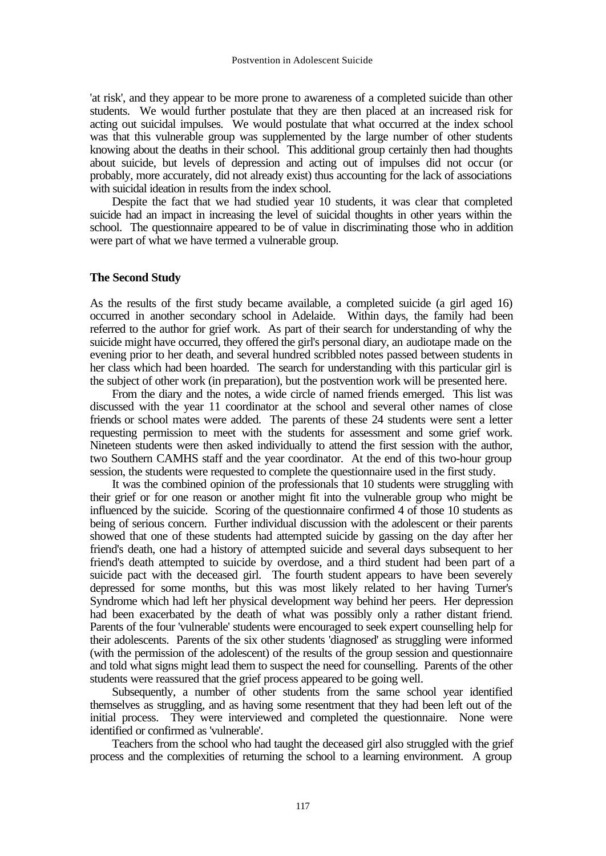'at risk', and they appear to be more prone to awareness of a completed suicide than other students. We would further postulate that they are then placed at an increased risk for acting out suicidal impulses. We would postulate that what occurred at the index school was that this vulnerable group was supplemented by the large number of other students knowing about the deaths in their school. This additional group certainly then had thoughts about suicide, but levels of depression and acting out of impulses did not occur (or probably, more accurately, did not already exist) thus accounting for the lack of associations with suicidal ideation in results from the index school.

Despite the fact that we had studied year 10 students, it was clear that completed suicide had an impact in increasing the level of suicidal thoughts in other years within the school. The questionnaire appeared to be of value in discriminating those who in addition were part of what we have termed a vulnerable group.

# **The Second Study**

As the results of the first study became available, a completed suicide (a girl aged 16) occurred in another secondary school in Adelaide. Within days, the family had been referred to the author for grief work. As part of their search for understanding of why the suicide might have occurred, they offered the girl's personal diary, an audiotape made on the evening prior to her death, and several hundred scribbled notes passed between students in her class which had been hoarded. The search for understanding with this particular girl is the subject of other work (in preparation), but the postvention work will be presented here.

From the diary and the notes, a wide circle of named friends emerged. This list was discussed with the year 11 coordinator at the school and several other names of close friends or school mates were added. The parents of these 24 students were sent a letter requesting permission to meet with the students for assessment and some grief work. Nineteen students were then asked individually to attend the first session with the author, two Southern CAMHS staff and the year coordinator. At the end of this two-hour group session, the students were requested to complete the questionnaire used in the first study.

It was the combined opinion of the professionals that 10 students were struggling with their grief or for one reason or another might fit into the vulnerable group who might be influenced by the suicide. Scoring of the questionnaire confirmed 4 of those 10 students as being of serious concern. Further individual discussion with the adolescent or their parents showed that one of these students had attempted suicide by gassing on the day after her friend's death, one had a history of attempted suicide and several days subsequent to her friend's death attempted to suicide by overdose, and a third student had been part of a suicide pact with the deceased girl. The fourth student appears to have been severely depressed for some months, but this was most likely related to her having Turner's Syndrome which had left her physical development way behind her peers. Her depression had been exacerbated by the death of what was possibly only a rather distant friend. Parents of the four 'vulnerable' students were encouraged to seek expert counselling help for their adolescents. Parents of the six other students 'diagnosed' as struggling were informed (with the permission of the adolescent) of the results of the group session and questionnaire and told what signs might lead them to suspect the need for counselling. Parents of the other students were reassured that the grief process appeared to be going well.

Subsequently, a number of other students from the same school year identified themselves as struggling, and as having some resentment that they had been left out of the initial process. They were interviewed and completed the questionnaire. None were identified or confirmed as 'vulnerable'.

Teachers from the school who had taught the deceased girl also struggled with the grief process and the complexities of returning the school to a learning environment. A group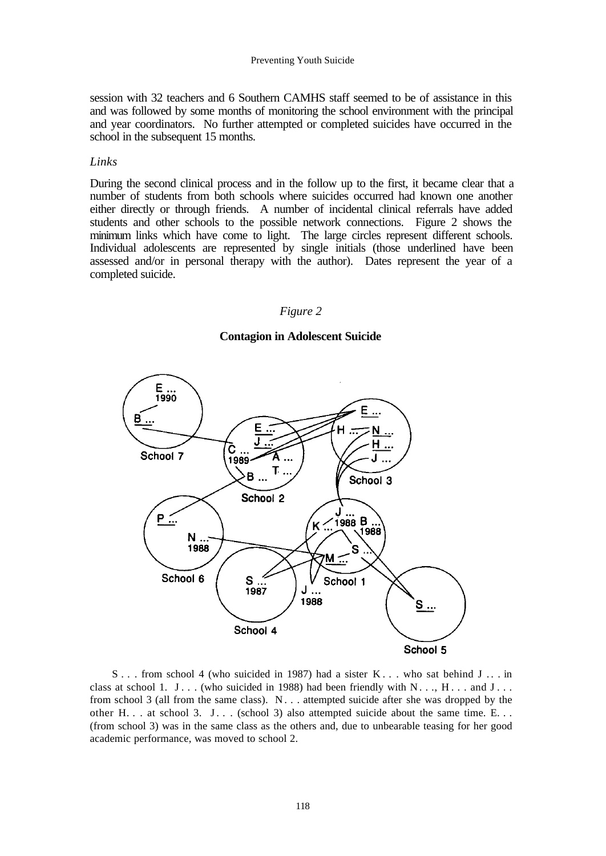session with 32 teachers and 6 Southern CAMHS staff seemed to be of assistance in this and was followed by some months of monitoring the school environment with the principal and year coordinators. No further attempted or completed suicides have occurred in the school in the subsequent 15 months.

# *Links*

During the second clinical process and in the follow up to the first, it became clear that a number of students from both schools where suicides occurred had known one another either directly or through friends. A number of incidental clinical referrals have added students and other schools to the possible network connections. Figure 2 shows the minimum links which have come to light. The large circles represent different schools. Individual adolescents are represented by single initials (those underlined have been assessed and/or in personal therapy with the author). Dates represent the year of a completed suicide.

#### *Figure 2*

# **Contagion in Adolescent Suicide**



S . . . from school 4 (who suicided in 1987) had a sister K . . . who sat behind J . . . in class at school 1. J... (who suicided in 1988) had been friendly with  $N_{1}$ ...,  $H_{1}$ ... and  $J_{1}$ ... from school 3 (all from the same class).  $N_{\text{max}}$  attempted suicide after she was dropped by the other  $H_1$ . . . at school 3. J... (school 3) also attempted suicide about the same time. E... (from school 3) was in the same class as the others and, due to unbearable teasing for her good academic performance, was moved to school 2.